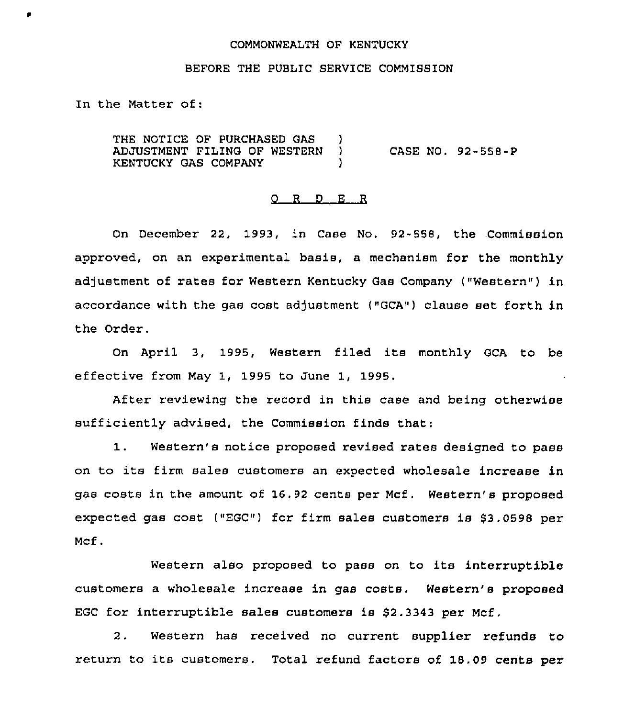### COMMONWEALTH OF KENTUCKY

### BEFORE THE PUBLIC SERVICE COMMISSION

In the Matter of:

ø

THE NOTICE OF PURCHASED GAS ADJUSTMENT FILING OF WESTERN ) CASE NO. 92-558-P KENTUCKY GAS COMPANY (1997)

#### 0 R <sup>D</sup> E R

On December 22, 1993, in Case No. 92-558, the Commission approved, on an experimental basis, a mechanism for the monthly adjustment of rates for Western Kentucky Gas Company ("Western") in accordance with the gas cost adjustment ("GCA") clause set forth in the Order.

On April 3, 1995, Western filed its monthly GCA to be effective from May 1, 1995 to June 1, 1995.

After reviewing the record in this case and being otherwise sufficiently advised, the Commission finds that:

1. Western's notice proposed revised rates designed to pass on to its firm sales customers an expected wholesale increase in gas costs in the amount of 16.92 cents per Mcf, Western's proposed expected gas cost ("EGC") for firm sales customers is \$3.0598 per Mcf.

Western also proposed to pass on to its interruptible customers a wholesale increase in gas costs, Western's proposed EGC for interruptible sales customers is \$2.3343 per Mcf.

<sup>2</sup> . Western has received no current supplier refunds to return to its customers. Total refund factors of 18.09 cents per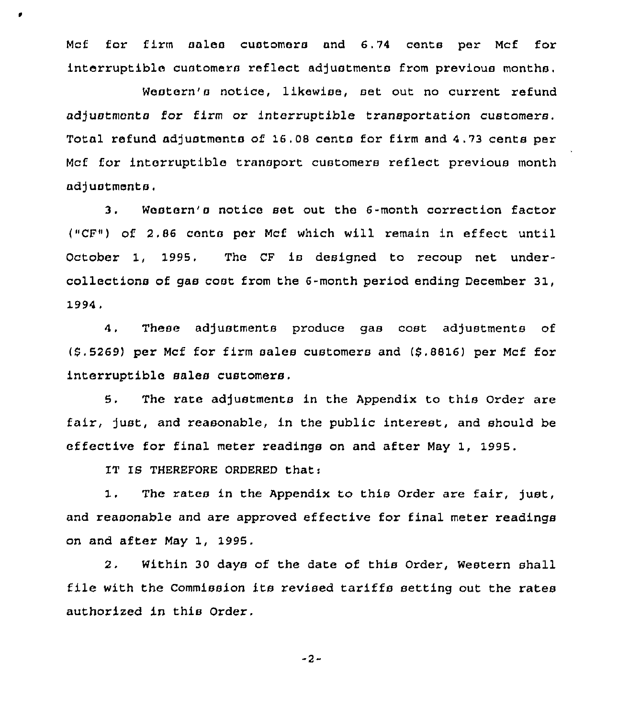Mcf for firm sales customers and 6.74 cents per Mcf for interruptible customers reflect adjustments from previous months.

Western's notice, likewise, set out no current refund adjustmcnts for firm or interruptible transportation customers. Total refund adjustments of 16.08 canto for firm and 4.73 cents per Mcf for. interruptible transport customers reflect previous month adjustments.

3, Western's notice set out the 6-month correction factor ("CF") of 2.86 cents per Mcf which will remain in effect until October 1, 1995. The CF is designed to recoup net undercollections of gas cost from the 6-month period ending December 31, 1994,

4, These adjustments produce gas cost adjustments of (\$ ,5269) per Mcf for firm sales customers and (\$ .8816) per Mcf for interruptible sales customers.

5. The rate adjustments in the Appendix to this Order are fair, just, and reasonable, in the public interest, and should be effective for final meter readings on and after May 1, 1995.

IT IS THEREFORE ORDERED that:

 $1.$ The rates in the Appendix to this Order are fair, just, and reasonable and are approved effective for final meter readings on and after May 1, 1995.

2. Within 30 days of the date of this Order, Western shall file with the Commission its revised tariffs setting out the rates authorized in this Order.

-2-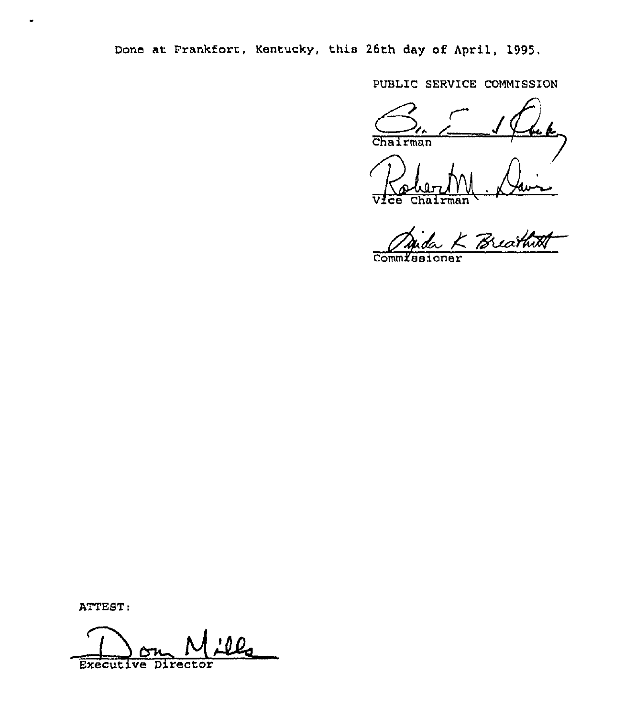Done at Frankfort, Kentucky, this 26th day of April, 1995,

PUBLIC SERVICE COMMISSION

Chairman  $\sum_{n=0}$ Vice Chairma

- Breathith

Comm*lesione* 

ATTEST:

lla Executive Director